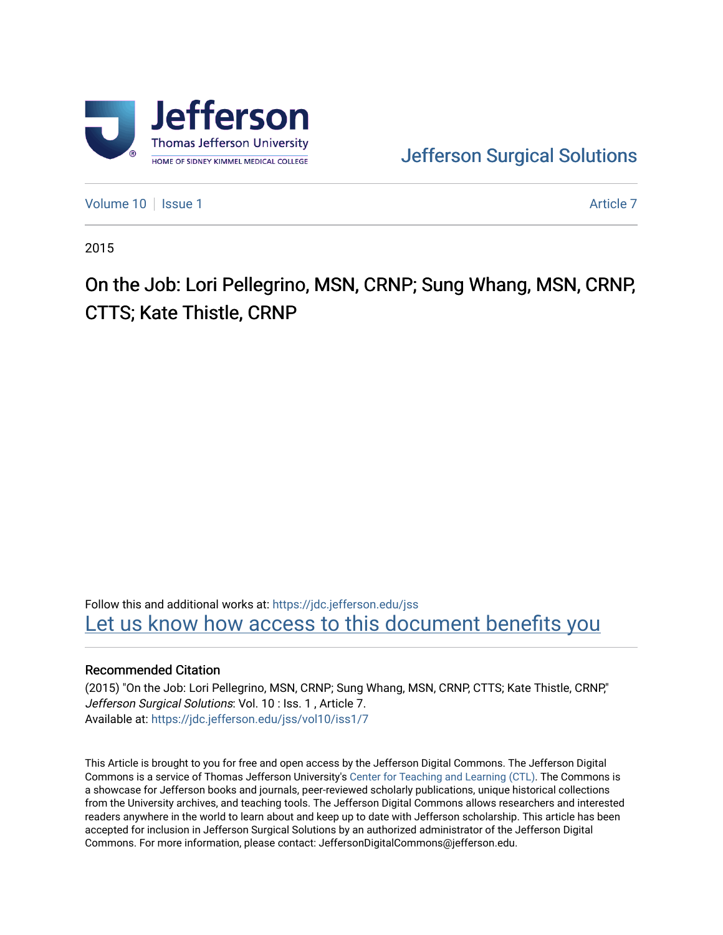

[Jefferson Surgical Solutions](https://jdc.jefferson.edu/jss) 

[Volume 10](https://jdc.jefferson.edu/jss/vol10) | [Issue 1](https://jdc.jefferson.edu/jss/vol10/iss1) Article 7

2015

On the Job: Lori Pellegrino, MSN, CRNP; Sung Whang, MSN, CRNP, CTTS; Kate Thistle, CRNP

Follow this and additional works at: [https://jdc.jefferson.edu/jss](https://jdc.jefferson.edu/jss?utm_source=jdc.jefferson.edu%2Fjss%2Fvol10%2Fiss1%2F7&utm_medium=PDF&utm_campaign=PDFCoverPages)  Let us know how access to this document benefits you

## Recommended Citation

(2015) "On the Job: Lori Pellegrino, MSN, CRNP; Sung Whang, MSN, CRNP, CTTS; Kate Thistle, CRNP," Jefferson Surgical Solutions: Vol. 10 : Iss. 1 , Article 7. Available at: [https://jdc.jefferson.edu/jss/vol10/iss1/7](https://jdc.jefferson.edu/jss/vol10/iss1/7?utm_source=jdc.jefferson.edu%2Fjss%2Fvol10%2Fiss1%2F7&utm_medium=PDF&utm_campaign=PDFCoverPages)

This Article is brought to you for free and open access by the Jefferson Digital Commons. The Jefferson Digital Commons is a service of Thomas Jefferson University's [Center for Teaching and Learning \(CTL\)](http://www.jefferson.edu/university/teaching-learning.html/). The Commons is a showcase for Jefferson books and journals, peer-reviewed scholarly publications, unique historical collections from the University archives, and teaching tools. The Jefferson Digital Commons allows researchers and interested readers anywhere in the world to learn about and keep up to date with Jefferson scholarship. This article has been accepted for inclusion in Jefferson Surgical Solutions by an authorized administrator of the Jefferson Digital Commons. For more information, please contact: JeffersonDigitalCommons@jefferson.edu.